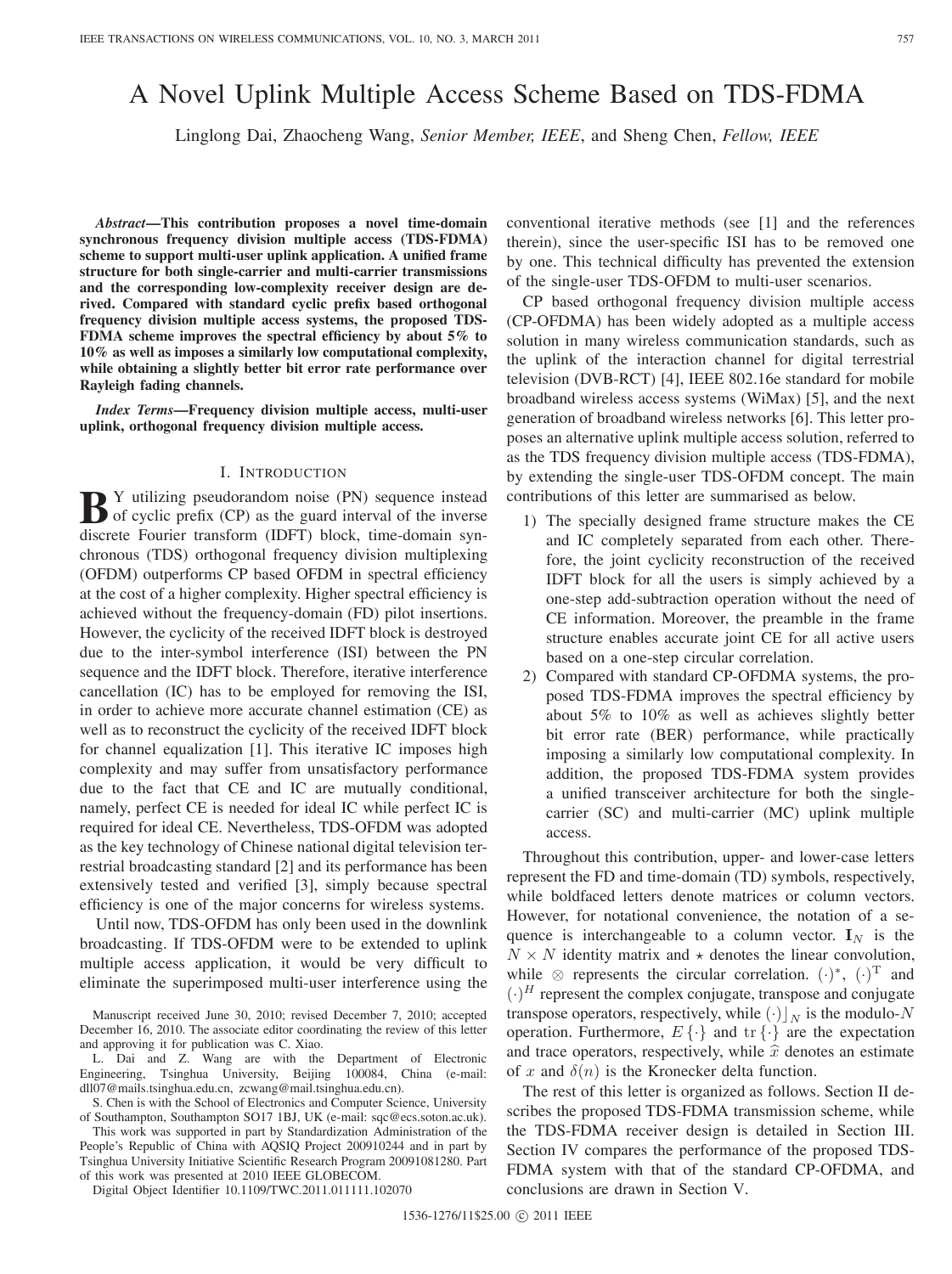# A Novel Uplink Multiple Access Scheme Based on TDS-FDMA

Linglong Dai, Zhaocheng Wang, *Senior Member, IEEE*, and Sheng Chen, *Fellow, IEEE*

*Abstract***—This contribution proposes a novel time-domain synchronous frequency division multiple access (TDS-FDMA) scheme to support multi-user uplink application. A unified frame structure for both single-carrier and multi-carrier transmissions and the corresponding low-complexity receiver design are derived. Compared with standard cyclic prefix based orthogonal frequency division multiple access systems, the proposed TDS-FDMA scheme improves the spectral efficiency by about 5% to 10% as well as imposes a similarly low computational complexity, while obtaining a slightly better bit error rate performance over Rayleigh fading channels.**

*Index Terms***—Frequency division multiple access, multi-user uplink, orthogonal frequency division multiple access.**

# I. INTRODUCTION

**B** Y utilizing pseudorandom noise (PN) sequence instead of cyclic prefix (CP) as the guard interval of the inverse discrete Fourier transform (IDFT) block, time-domain synchronous (TDS) orthogonal frequency division multiplexing (OFDM) outperforms CP based OFDM in spectral efficiency at the cost of a higher complexity. Higher spectral efficiency is achieved without the frequency-domain (FD) pilot insertions. However, the cyclicity of the received IDFT block is destroyed due to the inter-symbol interference (ISI) between the PN sequence and the IDFT block. Therefore, iterative interference cancellation (IC) has to be employed for removing the ISI, in order to achieve more accurate channel estimation (CE) as well as to reconstruct the cyclicity of the received IDFT block for channel equalization [1]. This iterative IC imposes high complexity and may suffer from unsatisfactory performance due to the fact that CE and IC are mutually conditional, namely, perfect CE is needed for ideal IC while perfect IC is required for ideal CE. Nevertheless, TDS-OFDM was adopted as the key technology of Chinese national digital television terrestrial broadcasting standard [2] and its performance has been extensively tested and verified [3], simply because spectral efficiency is one of the major concerns for wireless systems.

Until now, TDS-OFDM has only been used in the downlink broadcasting. If TDS-OFDM were to be extended to uplink multiple access application, it would be very difficult to eliminate the superimposed multi-user interference using the

L. Dai and Z. Wang are with the Department of Electronic Engineering, Tsinghua University, Beijing 100084, China (e-mail: dll07@mails.tsinghua.edu.cn, zcwang@mail.tsinghua.edu.cn).

S. Chen is with the School of Electronics and Computer Science, University of Southampton, Southampton SO17 1BJ, UK (e-mail: sqc@ecs.soton.ac.uk).

This work was supported in part by Standardization Administration of the People's Republic of China with AQSIQ Project 200910244 and in part by Tsinghua University Initiative Scientific Research Program 20091081280. Part of this work was presented at 2010 IEEE GLOBECOM.

Digital Object Identifier 10.1109/TWC.2011.011111.102070

conventional iterative methods (see [1] and the references therein), since the user-specific ISI has to be removed one by one. This technical difficulty has prevented the extension of the single-user TDS-OFDM to multi-user scenarios.

CP based orthogonal frequency division multiple access (CP-OFDMA) has been widely adopted as a multiple access solution in many wireless communication standards, such as the uplink of the interaction channel for digital terrestrial television (DVB-RCT) [4], IEEE 802.16e standard for mobile broadband wireless access systems (WiMax) [5], and the next generation of broadband wireless networks [6]. This letter proposes an alternative uplink multiple access solution, referred to as the TDS frequency division multiple access (TDS-FDMA), by extending the single-user TDS-OFDM concept. The main contributions of this letter are summarised as below.

- 1) The specially designed frame structure makes the CE and IC completely separated from each other. Therefore, the joint cyclicity reconstruction of the received IDFT block for all the users is simply achieved by a one-step add-subtraction operation without the need of CE information. Moreover, the preamble in the frame structure enables accurate joint CE for all active users based on a one-step circular correlation.
- 2) Compared with standard CP-OFDMA systems, the proposed TDS-FDMA improves the spectral efficiency by about 5% to 10% as well as achieves slightly better bit error rate (BER) performance, while practically imposing a similarly low computational complexity. In addition, the proposed TDS-FDMA system provides a unified transceiver architecture for both the singlecarrier (SC) and multi-carrier (MC) uplink multiple access.

Throughout this contribution, upper- and lower-case letters represent the FD and time-domain (TD) symbols, respectively, while boldfaced letters denote matrices or column vectors. However, for notational convenience, the notation of a sequence is interchangeable to a column vector.  $I_N$  is the  $N \times N$  identity matrix and  $\star$  denotes the linear convolution, while  $\otimes$  represents the circular correlation.  $(\cdot)^{*}$ ,  $(\cdot)^{T}$  and  $(·)^H$  represent the complex conjugate, transpose and conjugate transpose operators, respectively, while  $(\cdot)|_N$  is the modulo-N operation. Furthermore,  $E\{\cdot\}$  and  $\text{tr}\{\cdot\}$  are the expectation and trace operators, respectively, while  $\hat{x}$  denotes an estimate of x and  $\delta(n)$  is the Kronecker delta function.

The rest of this letter is organized as follows. Section II describes the proposed TDS-FDMA transmission scheme, while the TDS-FDMA receiver design is detailed in Section III. Section IV compares the performance of the proposed TDS-FDMA system with that of the standard CP-OFDMA, and conclusions are drawn in Section V.

Manuscript received June 30, 2010; revised December 7, 2010; accepted December 16, 2010. The associate editor coordinating the review of this letter and approving it for publication was C. Xiao.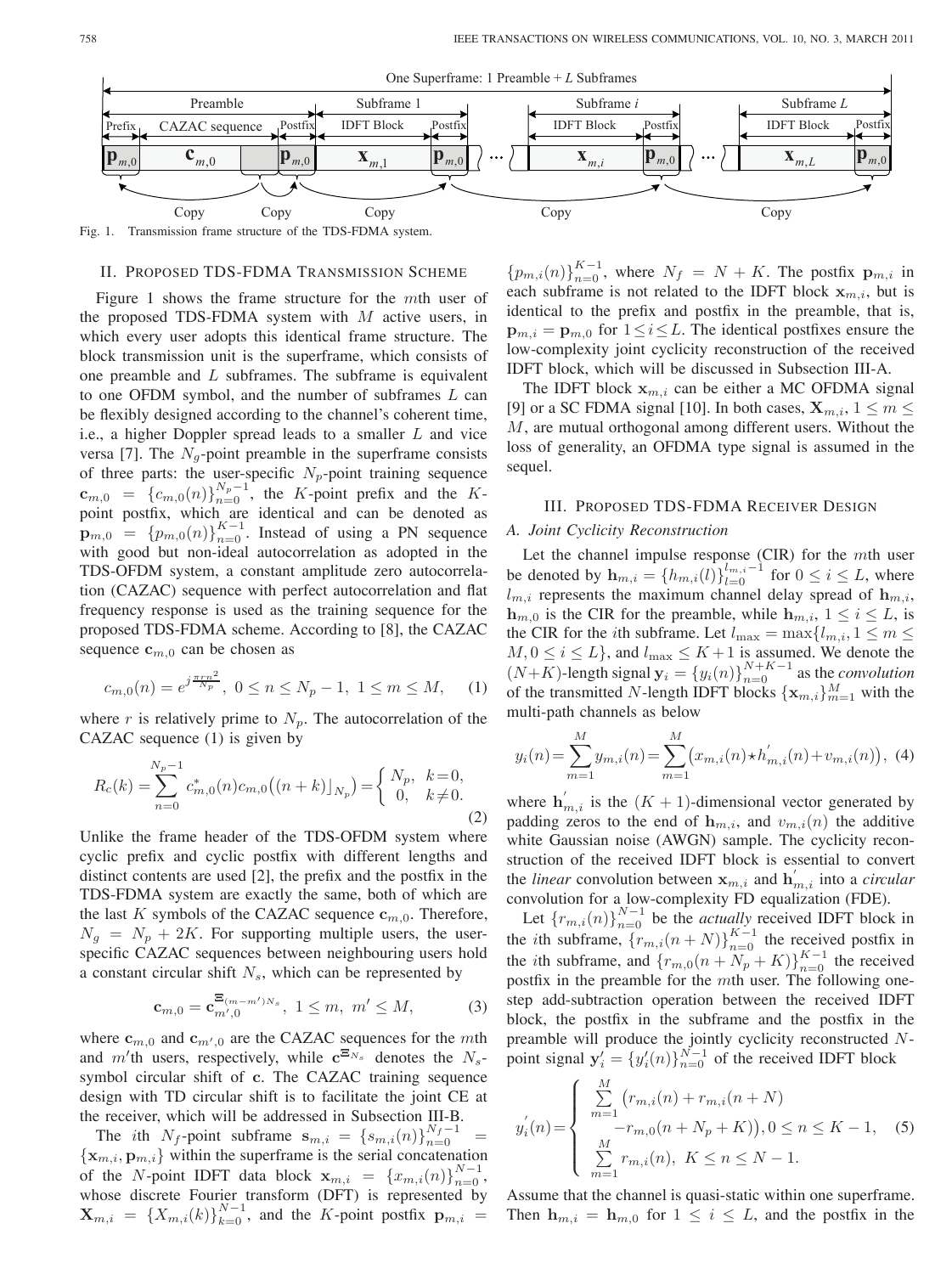



Fig. 1. Transmission frame structure of the TDS-FDMA system.

#### II. PROPOSED TDS-FDMA TRANSMISSION SCHEME

Figure 1 shows the frame structure for the  $m$ th user of the proposed TDS-FDMA system with  $M$  active users, in which every user adopts this identical frame structure. The block transmission unit is the superframe, which consists of one preamble and  $L$  subframes. The subframe is equivalent to one OFDM symbol, and the number of subframes  $L$  can be flexibly designed according to the channel's coherent time, i.e., a higher Doppler spread leads to a smaller  $L$  and vice versa [7]. The  $N<sub>q</sub>$ -point preamble in the superframe consists of three parts: the user-specific  $N_p$ -point training sequence **, the K-point prefix and the K**point postfix, which are identical and can be denoted as  $\mathbf{p}_{m,0} = \{p_{m,0}(n)\}_{n=0}^{K-1}$ . Instead of using a PN sequence with good but non-ideal autocorrelation as adopted in the TDS-OFDM system, a constant amplitude zero autocorrelation (CAZAC) sequence with perfect autocorrelation and flat frequency response is used as the training sequence for the proposed TDS-FDMA scheme. According to [8], the CAZAC sequence  $c_{m,0}$  can be chosen as

$$
c_{m,0}(n) = e^{j\frac{\pi r n^2}{N_p}}, \ 0 \le n \le N_p - 1, \ 1 \le m \le M, \quad (1)
$$

where r is relatively prime to  $N_p$ . The autocorrelation of the CAZAC sequence (1) is given by

$$
R_c(k) = \sum_{n=0}^{N_p - 1} c_{m,0}^*(n) c_{m,0}((n+k) \vert_{N_p}) = \begin{cases} N_p, & k = 0, \\ 0, & k \neq 0. \end{cases} \tag{2}
$$

Unlike the frame header of the TDS-OFDM system where cyclic prefix and cyclic postfix with different lengths and distinct contents are used [2], the prefix and the postfix in the TDS-FDMA system are exactly the same, both of which are the last  $K$  symbols of the CAZAC sequence  $\mathbf{c}_{m,0}$ . Therefore,  $N_g = N_p + 2K$ . For supporting multiple users, the userspecific CAZAC sequences between neighbouring users hold a constant circular shift  $N_s$ , which can be represented by

$$
\mathbf{c}_{m,0} = \mathbf{c}_{m',0}^{\Xi_{(m-m')N_s}}, \ 1 \leq m, \ m' \leq M,\tag{3}
$$

where  $\mathbf{c}_{m,0}$  and  $\mathbf{c}_{m',0}$  are the CAZAC sequences for the mth and m'th users, respectively, while  $c^{E_{N_s}}$  denotes the  $N_s$ symbol circular shift of **c**. The CAZAC training sequence design with TD circular shift is to facilitate the joint CE at the receiver, which will be addressed in Subsection III-B.

The ith  $N_f$ -point subframe  $s_{m,i} = \{s_{m,i}(n)\}_{n=0}^{N_f-1}$  $\{\mathbf x_{m,i}, \mathbf p_{m,i}\}\$  within the superframe is the serial concatenation of the N-point IDFT data block  $\mathbf{x}_{m,i} = \{x_{m,i}(n)\}_{n=0}^{N-1}$ , whose discrete Fourier transform (DFT) is represented by  $\mathbf{X}_{m,i}$  = { $X_{m,i}(k)$ } $_{k=0}^{N-1}$ , and the K-point postfix  $\mathbf{p}_{m,i}$  =

 $\{p_{m,i}(n)\}_{n=0}^{K-1}$ , where  $N_f = N + K$ . The postfix  $\mathbf{p}_{m,i}$  in each subframe is not related to the IDFT block  $x_{m,i}$ , but is identical to the prefix and postfix in the preamble, that is,  $\mathbf{p}_{m,i} = \mathbf{p}_{m,0}$  for  $1 \leq i \leq L$ . The identical postfixes ensure the low-complexity joint cyclicity reconstruction of the received IDFT block, which will be discussed in Subsection III-A.

The IDFT block  $x_{m,i}$  can be either a MC OFDMA signal [9] or a SC FDMA signal [10]. In both cases,  $\mathbf{X}_{m,i}$ ,  $1 \leq m \leq$  $M$ , are mutual orthogonal among different users. Without the loss of generality, an OFDMA type signal is assumed in the sequel.

# III. PROPOSED TDS-FDMA RECEIVER DESIGN

## *A. Joint Cyclicity Reconstruction*

Let the channel impulse response (CIR) for the  $m$ th user be denoted by  $\mathbf{h}_{m,i} = \{h_{m,i}(l)\}_{l=0}^{l_{m,i}-1}$  for  $0 \le i \le L$ , where  $l_{m,i}$  represents the maximum channel delay spread of  $\mathbf{h}_{m,i}$ ,  $\mathbf{h}_{m,0}$  is the CIR for the preamble, while  $\mathbf{h}_{m,i}$ ,  $1 \leq i \leq L$ , is the CIR for the *i*th subframe. Let  $l_{\max} = \max\{l_{m,i}, 1 \leq m \leq$  $M, 0 \le i \le L$ , and  $l_{\text{max}} \le K + 1$  is assumed. We denote the  $(N+K)$ -length signal  $\mathbf{y}_i = \{y_i(n)\}_{n=0}^{N+K-1}$  as the *convolution* of the transmitted N-length IDFT blocks  $\{ {\bf x}_{m,i} \}_{m=1}^M$  with the multi-path channels as below

$$
y_i(n) = \sum_{m=1}^{M} y_{m,i}(n) = \sum_{m=1}^{M} (x_{m,i}(n) \star h'_{m,i}(n) + v_{m,i}(n)), \tag{4}
$$

where  $h'_{m,i}$  is the  $(K + 1)$ -dimensional vector generated by padding zeros to the end of  $\mathbf{h}_{m,i}$ , and  $v_{m,i}(n)$  the additive white Gaussian noise (AWGN) sample. The cyclicity reconstruction of the received IDFT block is essential to convert the *linear* convolution between  $\mathbf{x}_{m,i}$  and  $\mathbf{h}'_{m,i}$  into a *circular* convolution for a low-complexity FD equalization (FDE).

Let  ${r_{m,i}(n)}_{n=0}^{N-1}$  be the *actually* received IDFT block in the *i*th subframe,  ${r_{m,i}(n+N)}_{n=0}^{K-1}$  the received postfix in the *i*th subframe, and  $\{r_{m,0}(n + N_p + K)\}_{n=0}^{K-1}$  the received postfix in the preamble for the  $m$ th user. The following onestep add-subtraction operation between the received IDFT block, the postfix in the subframe and the postfix in the preamble will produce the jointly cyclicity reconstructed  $N$ point signal  $y'_i = \{y'_i(n)\}_{n=0}^{N-1}$  of the received IDFT block

$$
y'_{i}(n) = \begin{cases} \sum_{m=1}^{M} (r_{m,i}(n) + r_{m,i}(n+N)) \\ -r_{m,0}(n+N_{p}+K)), 0 \leq n \leq K-1, \\ \sum_{m=1}^{M} r_{m,i}(n), \ K \leq n \leq N-1. \end{cases}
$$
 (5)

Assume that the channel is quasi-static within one superframe. Then  $h_{m,i} = h_{m,0}$  for  $1 \leq i \leq L$ , and the postfix in the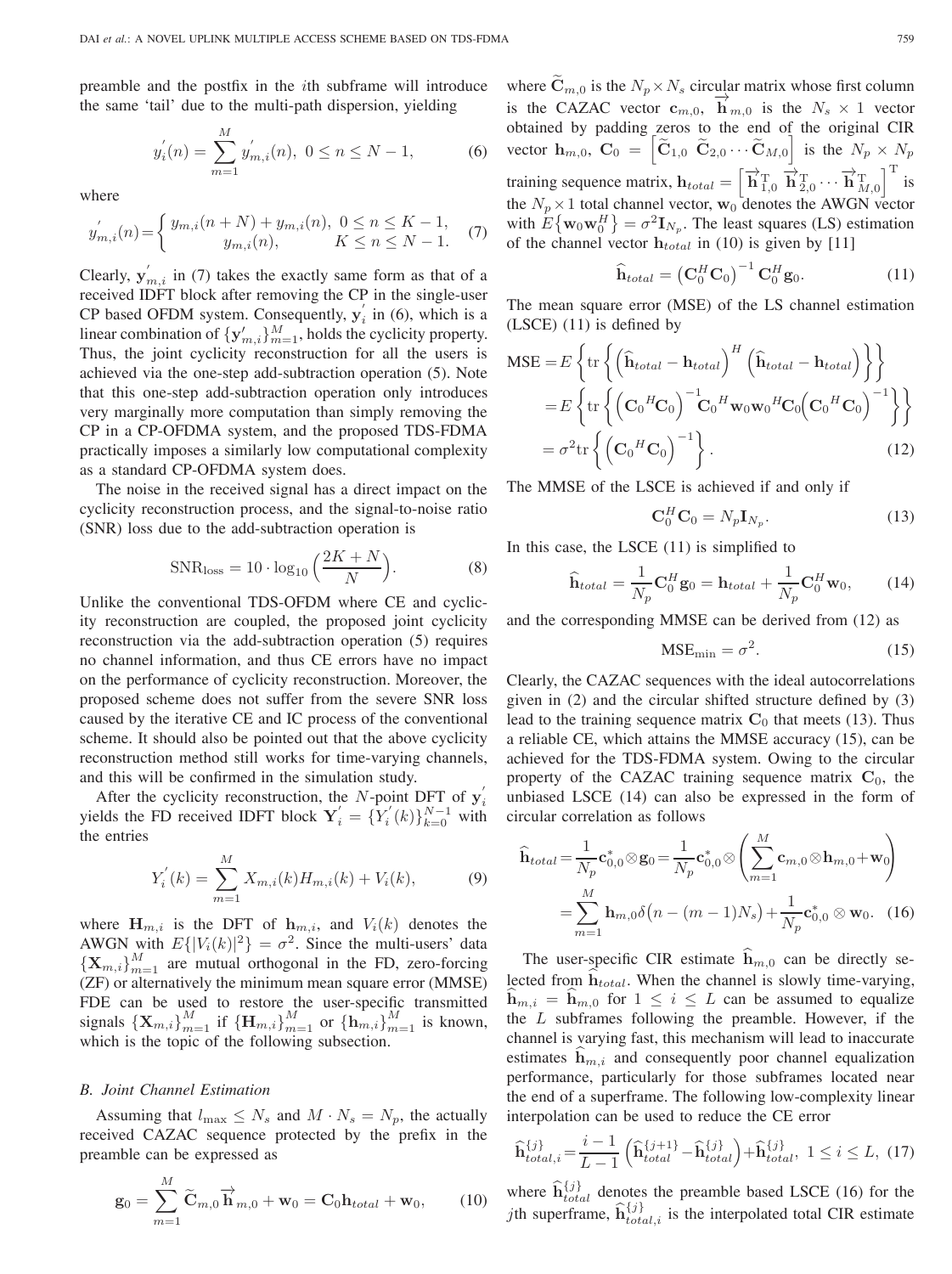preamble and the postfix in the  $i$ th subframe will introduce the same 'tail' due to the multi-path dispersion, yielding

$$
y'_{i}(n) = \sum_{m=1}^{M} y'_{m,i}(n), \ 0 \le n \le N - 1,
$$
 (6)

where

$$
y'_{m,i}(n) = \begin{cases} y_{m,i}(n+N) + y_{m,i}(n), & 0 \le n \le K-1, \\ y_{m,i}(n), & K \le n \le N-1. \end{cases}
$$
 (7)

Clearly,  $y'_{m,i}$  in (7) takes the exactly same form as that of a received IDFT block after removing the CP in the single-user CP based OFDM system. Consequently,  $y'_i$  in (6), which is a linear combination of  $\{y'_{m,i}\}_{m=1}^M$ , holds the cyclicity property. Thus, the joint cyclicity reconstruction for all the users is achieved via the one-step add-subtraction operation (5). Note that this one-step add-subtraction operation only introduces very marginally more computation than simply removing the CP in a CP-OFDMA system, and the proposed TDS-FDMA practically imposes a similarly low computational complexity as a standard CP-OFDMA system does.

The noise in the received signal has a direct impact on the cyclicity reconstruction process, and the signal-to-noise ratio (SNR) loss due to the add-subtraction operation is

$$
\text{SNR}_{\text{loss}} = 10 \cdot \log_{10} \left( \frac{2K + N}{N} \right). \tag{8}
$$

Unlike the conventional TDS-OFDM where CE and cyclicity reconstruction are coupled, the proposed joint cyclicity reconstruction via the add-subtraction operation (5) requires no channel information, and thus CE errors have no impact on the performance of cyclicity reconstruction. Moreover, the proposed scheme does not suffer from the severe SNR loss caused by the iterative CE and IC process of the conventional scheme. It should also be pointed out that the above cyclicity reconstruction method still works for time-varying channels, and this will be confirmed in the simulation study.

After the cyclicity reconstruction, the N-point DFT of  $y'_i$ yields the FD received IDFT block  $Y'_{i} = \{Y'_{i}(k)\}_{k=0}^{N-1}$  with the entries

$$
Y'_{i}(k) = \sum_{m=1}^{M} X_{m,i}(k) H_{m,i}(k) + V_{i}(k),
$$
 (9)

where  $H_{m,i}$  is the DFT of  $h_{m,i}$ , and  $V_i(k)$  denotes the AWGN with  $E\{|V_i(k)|^2\} = \sigma^2$ . Since the multi-users' data  ${\bf \{X}_{m,i}\}_{m=1}^{M}$  are mutual orthogonal in the FD, zero-forcing (ZF) or alternatively the minimum mean square error (MMSE) FDE can be used to restore the user-specific transmitted signals  ${\{\mathbf{X}_{m,i}\}}_{m=1}^{M}$  if  ${\{\mathbf{H}_{m,i}\}}_{m=1}^{M}$  or  ${\{\mathbf{h}_{m,i}\}}_{m=1}^{M}$  is known, which is the topic of the following subsection.

### *B. Joint Channel Estimation*

Assuming that  $l_{\max} \leq N_s$  and  $M \cdot N_s = N_p$ , the actually received CAZAC sequence protected by the prefix in the preamble can be expressed as

$$
\mathbf{g}_0 = \sum_{m=1}^M \widetilde{\mathbf{C}}_{m,0} \overrightarrow{\mathbf{h}}_{m,0} + \mathbf{w}_0 = \mathbf{C}_0 \mathbf{h}_{total} + \mathbf{w}_0, \qquad (10)
$$

where  $\mathbf{C}_{m,0}$  is the  $N_p \times N_s$  circular matrix whose first column is the CAZAC vector  $\mathbf{c}_{m,0}$ ,  $\mathbf{h}_{m,0}$  is the  $N_s \times 1$  vector obtained by padding zeros to the end of the original CIR vector  $\mathbf{h}_{m,0}$ ,  $\mathbf{C}_0 = \begin{bmatrix} \tilde{\mathbf{C}}_{1,0} & \tilde{\mathbf{C}}_{2,0} & \cdots & \tilde{\mathbf{C}}_{M,0} \end{bmatrix}$  is the  $N_p \times N_p$ training sequence matrix,  $\mathbf{h}_{total} = \begin{bmatrix} \vec{h}_{1,0}^T & \vec{h}_{2,0}^T \cdots & \vec{h}_{M,0}^T \end{bmatrix}^T$  is the  $N_p \times 1$  total channel vector,  $\mathbf{w}_0$  denotes the AWGN vector with  $E\{\mathbf{w}_0 \mathbf{w}_0^H\} = \sigma^2 \mathbf{I}_{N_p}$ . The least squares (LS) estimation of the channel vector  $h_{total}$  in (10) is given by [11]

$$
\widehat{\mathbf{h}}_{total} = \left(\mathbf{C}_0^H \mathbf{C}_0\right)^{-1} \mathbf{C}_0^H \mathbf{g}_0. \tag{11}
$$

The mean square error (MSE) of the LS channel estimation (LSCE) (11) is defined by

$$
\begin{split} \text{MSE} &= E \left\{ \text{tr} \left\{ \left( \widehat{\mathbf{h}}_{total} - \mathbf{h}_{total} \right)^H \left( \widehat{\mathbf{h}}_{total} - \mathbf{h}_{total} \right) \right\} \right\} \\ &= E \left\{ \text{tr} \left\{ \left( \mathbf{C}_0^H \mathbf{C}_0 \right)^{-1} \mathbf{C}_0^H \mathbf{w}_0 \mathbf{w}_0^H \mathbf{C}_0 \left( \mathbf{C}_0^H \mathbf{C}_0 \right)^{-1} \right\} \right\} \\ &= \sigma^2 \text{tr} \left\{ \left( \mathbf{C}_0^H \mathbf{C}_0 \right)^{-1} \right\}. \end{split} \tag{12}
$$

The MMSE of the LSCE is achieved if and only if

$$
\mathbf{C}_0^H \mathbf{C}_0 = N_p \mathbf{I}_{N_p}.\tag{13}
$$

In this case, the LSCE (11) is simplified to

$$
\widehat{\mathbf{h}}_{total} = \frac{1}{N_p} \mathbf{C}_0^H \mathbf{g}_0 = \mathbf{h}_{total} + \frac{1}{N_p} \mathbf{C}_0^H \mathbf{w}_0, \qquad (14)
$$

and the corresponding MMSE can be derived from (12) as

$$
MSE_{\min} = \sigma^2.
$$
 (15)

Clearly, the CAZAC sequences with the ideal autocorrelations given in (2) and the circular shifted structure defined by (3) lead to the training sequence matrix  $C_0$  that meets (13). Thus a reliable CE, which attains the MMSE accuracy (15), can be achieved for the TDS-FDMA system. Owing to the circular property of the CAZAC training sequence matrix  $C_0$ , the unbiased LSCE (14) can also be expressed in the form of circular correlation as follows

$$
\widehat{\mathbf{h}}_{total} = \frac{1}{N_p} \mathbf{c}_{0,0}^* \otimes \mathbf{g}_0 = \frac{1}{N_p} \mathbf{c}_{0,0}^* \otimes \left( \sum_{m=1}^M \mathbf{c}_{m,0} \otimes \mathbf{h}_{m,0} + \mathbf{w}_0 \right)
$$
\n
$$
= \sum_{m=1}^M \mathbf{h}_{m,0} \delta \left( n - (m-1)N_s \right) + \frac{1}{N_p} \mathbf{c}_{0,0}^* \otimes \mathbf{w}_0. \quad (16)
$$

The user-specific CIR estimate  $\hat{h}_{m,0}$  can be directly selected from  $\hat{h}_{total}$ . When the channel is slowly time-varying,  $\mathbf{h}_{m,i} = \mathbf{h}_{m,0}$  for  $1 \leq i \leq L$  can be assumed to equalize the  $L$  subframes following the preamble. However, if the channel is varying fast, this mechanism will lead to inaccurate estimates  $\mathbf{h}_{m,i}$  and consequently poor channel equalization performance, particularly for those subframes located near the end of a superframe. The following low-complexity linear interpolation can be used to reduce the CE error

$$
\widehat{\mathbf{h}}_{total,i}^{\{j\}} = \frac{i-1}{L-1} \left( \widehat{\mathbf{h}}_{total}^{\{j+1\}} - \widehat{\mathbf{h}}_{total}^{\{j\}} \right) + \widehat{\mathbf{h}}_{total}^{\{j\}}, \ 1 \le i \le L, \ (17)
$$

where  $\hat{h}^{\{j\}}_{total}$  denotes the preamble based LSCE (16) for the *j*th superframe,  $\hat{\mathbf{h}}_{total,i}^{\{j\}}$  is the interpolated total CIR estimate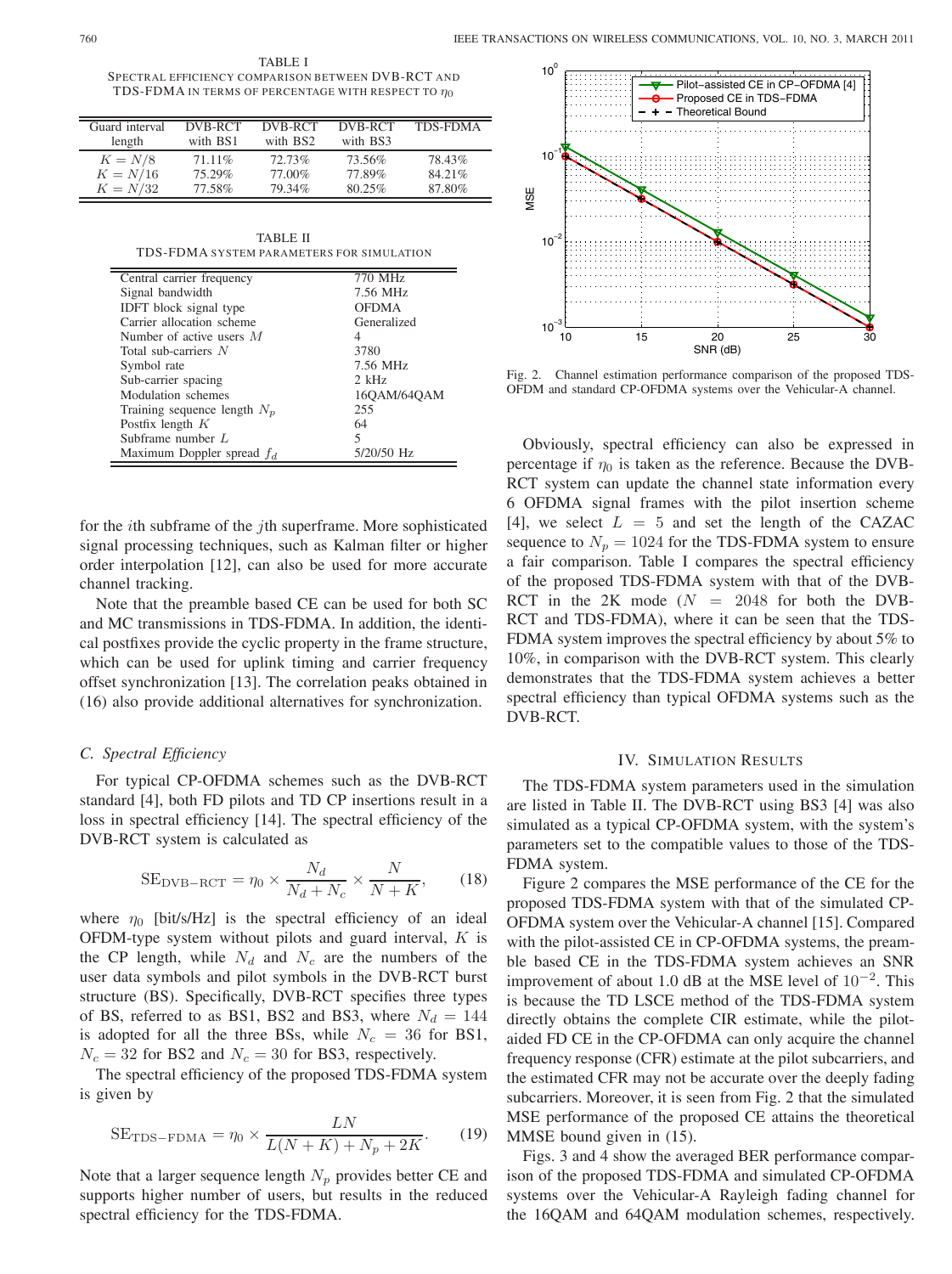TABLE I SPECTRAL EFFICIENCY COMPARISON BETWEEN DVB-RCT AND TDS-FDMA IN TERMS OF PERCENTAGE WITH RESPECT TO  $\eta_0$ 

| Guard interval | DVB-RCT  | DVB-RCT  | DVB-RCT  | <b>TDS-FDMA</b> |
|----------------|----------|----------|----------|-----------------|
| length         | with BS1 | with BS2 | with BS3 |                 |
| $K = N/8$      | 71.11\%  | 72.73%   | 73.56%   | 78.43%          |
| $K = N/16$     | 75.29%   | 77.00%   | 77.89%   | 84.21%          |
| $K = N/32$     | 77.58%   | 79.34%   | 80.25%   | 87.80%          |

TABLE II TDS-FDMA SYSTEM PARAMETERS FOR SIMULATION

| Central carrier frequency      | 770 MHz      |  |
|--------------------------------|--------------|--|
| Signal bandwidth               | 7.56 MHz     |  |
| <b>IDFT</b> block signal type  | <b>OFDMA</b> |  |
| Carrier allocation scheme      | Generalized  |  |
| Number of active users $M$     | 4            |  |
| Total sub-carriers $N$         | 3780         |  |
| Symbol rate                    | 7.56 MHz     |  |
| Sub-carrier spacing            | $2$ kHz      |  |
| Modulation schemes             | 16OAM/64OAM  |  |
| Training sequence length $N_p$ | 255          |  |
| Postfix length $K$             | 64           |  |
| Subframe number $L$            | 5            |  |
| Maximum Doppler spread $f_d$   | 5/20/50 Hz   |  |

for the *i*th subframe of the *j*th superframe. More sophisticated signal processing techniques, such as Kalman filter or higher order interpolation [12], can also be used for more accurate channel tracking.

Note that the preamble based CE can be used for both SC and MC transmissions in TDS-FDMA. In addition, the identical postfixes provide the cyclic property in the frame structure, which can be used for uplink timing and carrier frequency offset synchronization [13]. The correlation peaks obtained in (16) also provide additional alternatives for synchronization.

#### *C. Spectral Efficiency*

For typical CP-OFDMA schemes such as the DVB-RCT standard [4], both FD pilots and TD CP insertions result in a loss in spectral efficiency [14]. The spectral efficiency of the DVB-RCT system is calculated as

$$
SE_{\text{DVB}-\text{ROT}} = \eta_0 \times \frac{N_d}{N_d + N_c} \times \frac{N}{N+K},\qquad(18)
$$

where  $\eta_0$  [bit/s/Hz] is the spectral efficiency of an ideal OFDM-type system without pilots and guard interval,  $K$  is the CP length, while  $N_d$  and  $N_c$  are the numbers of the user data symbols and pilot symbols in the DVB-RCT burst structure (BS). Specifically, DVB-RCT specifies three types of BS, referred to as BS1, BS2 and BS3, where  $N_d = 144$ is adopted for all the three BSs, while  $N_c = 36$  for BS1,  $N_c = 32$  for BS2 and  $N_c = 30$  for BS3, respectively.

The spectral efficiency of the proposed TDS-FDMA system is given by

$$
SE_{\text{TDS-FDMA}} = \eta_0 \times \frac{LN}{L(N+K) + N_p + 2K}.\tag{19}
$$

Note that a larger sequence length  $N_p$  provides better CE and supports higher number of users, but results in the reduced spectral efficiency for the TDS-FDMA.



Fig. 2. Channel estimation performance comparison of the proposed TDS-OFDM and standard CP-OFDMA systems over the Vehicular-A channel.

Obviously, spectral efficiency can also be expressed in percentage if  $\eta_0$  is taken as the reference. Because the DVB-RCT system can update the channel state information every 6 OFDMA signal frames with the pilot insertion scheme [4], we select  $L = 5$  and set the length of the CAZAC sequence to  $N_p = 1024$  for the TDS-FDMA system to ensure a fair comparison. Table I compares the spectral efficiency of the proposed TDS-FDMA system with that of the DVB-RCT in the 2K mode ( $N = 2048$  for both the DVB-RCT and TDS-FDMA), where it can be seen that the TDS-FDMA system improves the spectral efficiency by about 5% to 10%, in comparison with the DVB-RCT system. This clearly demonstrates that the TDS-FDMA system achieves a better spectral efficiency than typical OFDMA systems such as the DVB-RCT.

#### IV. SIMULATION RESULTS

The TDS-FDMA system parameters used in the simulation are listed in Table II. The DVB-RCT using BS3 [4] was also simulated as a typical CP-OFDMA system, with the system's parameters set to the compatible values to those of the TDS-FDMA system.

Figure 2 compares the MSE performance of the CE for the proposed TDS-FDMA system with that of the simulated CP-OFDMA system over the Vehicular-A channel [15]. Compared with the pilot-assisted CE in CP-OFDMA systems, the preamble based CE in the TDS-FDMA system achieves an SNR improvement of about 1.0 dB at the MSE level of  $10^{-2}$ . This is because the TD LSCE method of the TDS-FDMA system directly obtains the complete CIR estimate, while the pilotaided FD CE in the CP-OFDMA can only acquire the channel frequency response (CFR) estimate at the pilot subcarriers, and the estimated CFR may not be accurate over the deeply fading subcarriers. Moreover, it is seen from Fig. 2 that the simulated MSE performance of the proposed CE attains the theoretical MMSE bound given in (15).

Figs. 3 and 4 show the averaged BER performance comparison of the proposed TDS-FDMA and simulated CP-OFDMA systems over the Vehicular-A Rayleigh fading channel for the 16QAM and 64QAM modulation schemes, respectively.